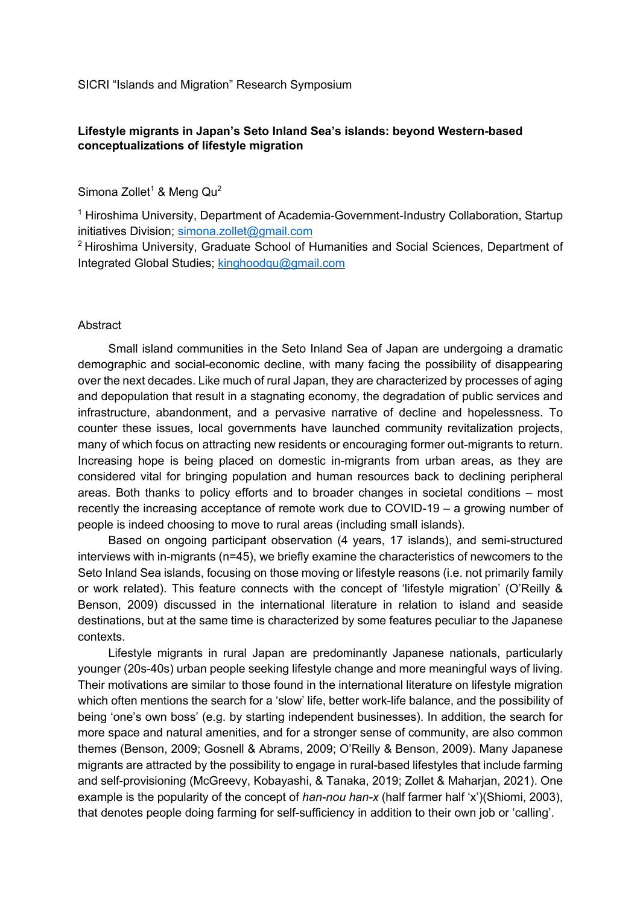SICRI "Islands and Migration" Research Symposium

## **Lifestyle migrants in Japan's Seto Inland Sea's islands: beyond Western-based conceptualizations of lifestyle migration**

Simona Zollet<sup>1</sup> & Meng  $Qu<sup>2</sup>$ 

<sup>1</sup> Hiroshima University, Department of Academia-Government-Industry Collaboration, Startup initiatives Division; simona.zollet@gmail.com

 $2$  Hiroshima University, Graduate School of Humanities and Social Sciences, Department of Integrated Global Studies; kinghoodqu@gmail.com

## **Abstract**

Small island communities in the Seto Inland Sea of Japan are undergoing a dramatic demographic and social-economic decline, with many facing the possibility of disappearing over the next decades. Like much of rural Japan, they are characterized by processes of aging and depopulation that result in a stagnating economy, the degradation of public services and infrastructure, abandonment, and a pervasive narrative of decline and hopelessness. To counter these issues, local governments have launched community revitalization projects, many of which focus on attracting new residents or encouraging former out-migrants to return. Increasing hope is being placed on domestic in-migrants from urban areas, as they are considered vital for bringing population and human resources back to declining peripheral areas. Both thanks to policy efforts and to broader changes in societal conditions – most recently the increasing acceptance of remote work due to COVID-19 – a growing number of people is indeed choosing to move to rural areas (including small islands).

Based on ongoing participant observation (4 years, 17 islands), and semi-structured interviews with in-migrants (n=45), we briefly examine the characteristics of newcomers to the Seto Inland Sea islands, focusing on those moving or lifestyle reasons (i.e. not primarily family or work related). This feature connects with the concept of 'lifestyle migration' (O'Reilly & Benson, 2009) discussed in the international literature in relation to island and seaside destinations, but at the same time is characterized by some features peculiar to the Japanese contexts.

Lifestyle migrants in rural Japan are predominantly Japanese nationals, particularly younger (20s-40s) urban people seeking lifestyle change and more meaningful ways of living. Their motivations are similar to those found in the international literature on lifestyle migration which often mentions the search for a 'slow' life, better work-life balance, and the possibility of being 'one's own boss' (e.g. by starting independent businesses). In addition, the search for more space and natural amenities, and for a stronger sense of community, are also common themes (Benson, 2009; Gosnell & Abrams, 2009; O'Reilly & Benson, 2009). Many Japanese migrants are attracted by the possibility to engage in rural-based lifestyles that include farming and self-provisioning (McGreevy, Kobayashi, & Tanaka, 2019; Zollet & Maharjan, 2021). One example is the popularity of the concept of *han-nou han-x* (half farmer half 'x')(Shiomi, 2003), that denotes people doing farming for self-sufficiency in addition to their own job or 'calling'.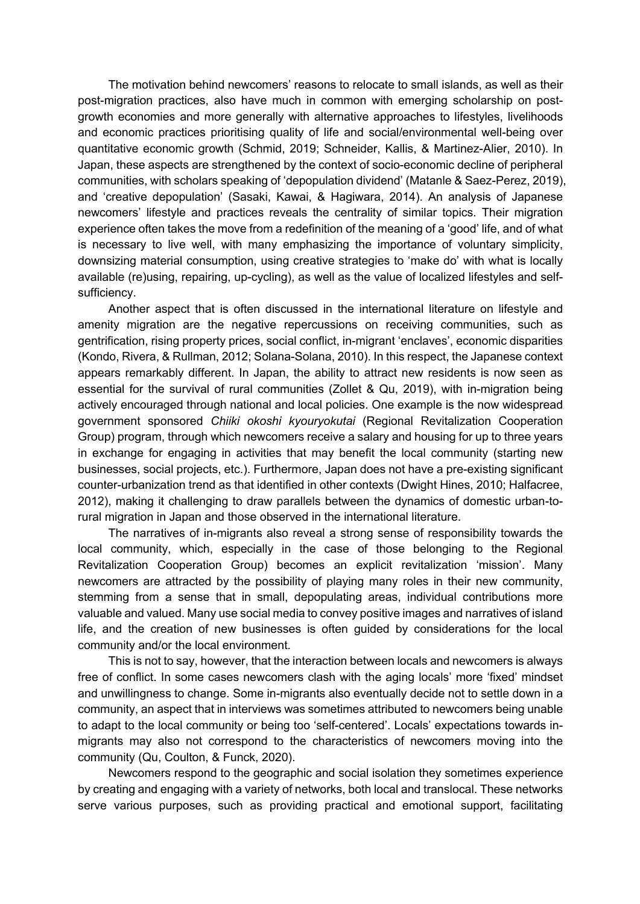The motivation behind newcomers' reasons to relocate to small islands, as well as their post-migration practices, also have much in common with emerging scholarship on postgrowth economies and more generally with alternative approaches to lifestyles, livelihoods and economic practices prioritising quality of life and social/environmental well-being over quantitative economic growth (Schmid, 2019; Schneider, Kallis, & Martinez-Alier, 2010). In Japan, these aspects are strengthened by the context of socio-economic decline of peripheral communities, with scholars speaking of 'depopulation dividend' (Matanle & Saez-Perez, 2019), and 'creative depopulation' (Sasaki, Kawai, & Hagiwara, 2014). An analysis of Japanese newcomers' lifestyle and practices reveals the centrality of similar topics. Their migration experience often takes the move from a redefinition of the meaning of a 'good' life, and of what is necessary to live well, with many emphasizing the importance of voluntary simplicity, downsizing material consumption, using creative strategies to 'make do' with what is locally available (re)using, repairing, up-cycling), as well as the value of localized lifestyles and selfsufficiency.

Another aspect that is often discussed in the international literature on lifestyle and amenity migration are the negative repercussions on receiving communities, such as gentrification, rising property prices, social conflict, in-migrant 'enclaves', economic disparities (Kondo, Rivera, & Rullman, 2012; Solana-Solana, 2010). In this respect, the Japanese context appears remarkably different. In Japan, the ability to attract new residents is now seen as essential for the survival of rural communities (Zollet & Qu, 2019), with in-migration being actively encouraged through national and local policies. One example is the now widespread government sponsored *Chiiki okoshi kyouryokutai* (Regional Revitalization Cooperation Group) program, through which newcomers receive a salary and housing for up to three years in exchange for engaging in activities that may benefit the local community (starting new businesses, social projects, etc.). Furthermore, Japan does not have a pre-existing significant counter-urbanization trend as that identified in other contexts (Dwight Hines, 2010; Halfacree, 2012), making it challenging to draw parallels between the dynamics of domestic urban-torural migration in Japan and those observed in the international literature.

The narratives of in-migrants also reveal a strong sense of responsibility towards the local community, which, especially in the case of those belonging to the Regional Revitalization Cooperation Group) becomes an explicit revitalization 'mission'. Many newcomers are attracted by the possibility of playing many roles in their new community, stemming from a sense that in small, depopulating areas, individual contributions more valuable and valued. Many use social media to convey positive images and narratives of island life, and the creation of new businesses is often guided by considerations for the local community and/or the local environment.

This is not to say, however, that the interaction between locals and newcomers is always free of conflict. In some cases newcomers clash with the aging locals' more 'fixed' mindset and unwillingness to change. Some in-migrants also eventually decide not to settle down in a community, an aspect that in interviews was sometimes attributed to newcomers being unable to adapt to the local community or being too 'self-centered'. Locals' expectations towards inmigrants may also not correspond to the characteristics of newcomers moving into the community (Qu, Coulton, & Funck, 2020).

Newcomers respond to the geographic and social isolation they sometimes experience by creating and engaging with a variety of networks, both local and translocal. These networks serve various purposes, such as providing practical and emotional support, facilitating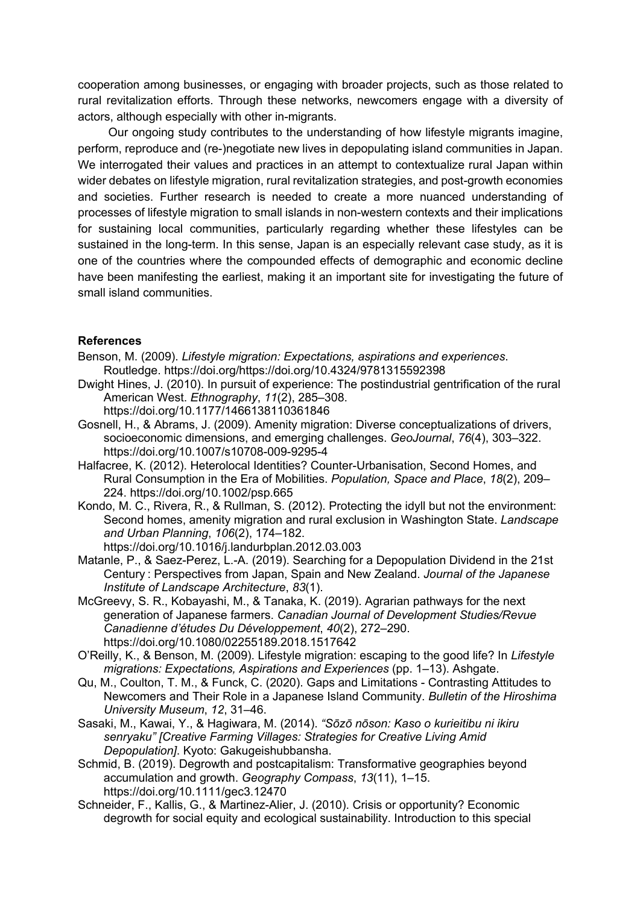cooperation among businesses, or engaging with broader projects, such as those related to rural revitalization efforts. Through these networks, newcomers engage with a diversity of actors, although especially with other in-migrants.

Our ongoing study contributes to the understanding of how lifestyle migrants imagine, perform, reproduce and (re-)negotiate new lives in depopulating island communities in Japan. We interrogated their values and practices in an attempt to contextualize rural Japan within wider debates on lifestyle migration, rural revitalization strategies, and post-growth economies and societies. Further research is needed to create a more nuanced understanding of processes of lifestyle migration to small islands in non-western contexts and their implications for sustaining local communities, particularly regarding whether these lifestyles can be sustained in the long-term. In this sense, Japan is an especially relevant case study, as it is one of the countries where the compounded effects of demographic and economic decline have been manifesting the earliest, making it an important site for investigating the future of small island communities.

## **References**

- Benson, M. (2009). *Lifestyle migration: Expectations, aspirations and experiences*. Routledge. https://doi.org/https://doi.org/10.4324/9781315592398
- Dwight Hines, J. (2010). In pursuit of experience: The postindustrial gentrification of the rural American West. *Ethnography*, *11*(2), 285–308.
	- https://doi.org/10.1177/1466138110361846
- Gosnell, H., & Abrams, J. (2009). Amenity migration: Diverse conceptualizations of drivers, socioeconomic dimensions, and emerging challenges. *GeoJournal*, *76*(4), 303–322. https://doi.org/10.1007/s10708-009-9295-4
- Halfacree, K. (2012). Heterolocal Identities? Counter-Urbanisation, Second Homes, and Rural Consumption in the Era of Mobilities. *Population, Space and Place*, *18*(2), 209– 224. https://doi.org/10.1002/psp.665
- Kondo, M. C., Rivera, R., & Rullman, S. (2012). Protecting the idyll but not the environment: Second homes, amenity migration and rural exclusion in Washington State. *Landscape and Urban Planning*, *106*(2), 174–182.
	- https://doi.org/10.1016/j.landurbplan.2012.03.003
- Matanle, P., & Saez-Perez, L.-A. (2019). Searching for a Depopulation Dividend in the 21st Century : Perspectives from Japan, Spain and New Zealand. *Journal of the Japanese Institute of Landscape Architecture*, *83*(1).
- McGreevy, S. R., Kobayashi, M., & Tanaka, K. (2019). Agrarian pathways for the next generation of Japanese farmers. *Canadian Journal of Development Studies/Revue Canadienne d'études Du Développement*, *40*(2), 272–290. https://doi.org/10.1080/02255189.2018.1517642
- O'Reilly, K., & Benson, M. (2009). Lifestyle migration: escaping to the good life? In *Lifestyle migrations: Expectations, Aspirations and Experiences* (pp. 1–13). Ashgate.
- Qu, M., Coulton, T. M., & Funck, C. (2020). Gaps and Limitations Contrasting Attitudes to Newcomers and Their Role in a Japanese Island Community. *Bulletin of the Hiroshima University Museum*, *12*, 31–46.
- Sasaki, M., Kawai, Y., & Hagiwara, M. (2014). *"Sōzō nōson: Kaso o kurieitibu ni ikiru senryaku" [Creative Farming Villages: Strategies for Creative Living Amid Depopulation]*. Kyoto: Gakugeishubbansha.
- Schmid, B. (2019). Degrowth and postcapitalism: Transformative geographies beyond accumulation and growth. *Geography Compass*, *13*(11), 1–15. https://doi.org/10.1111/gec3.12470
- Schneider, F., Kallis, G., & Martinez-Alier, J. (2010). Crisis or opportunity? Economic degrowth for social equity and ecological sustainability. Introduction to this special